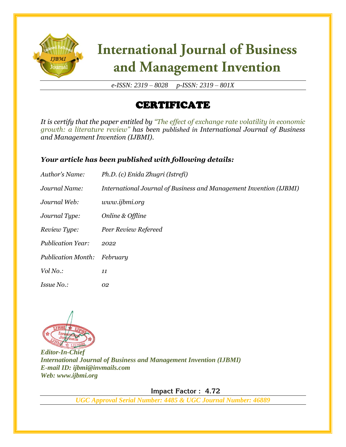

# **International Journal of Business** and Management Invention

*e-ISSN: 2319 – 8028 p-ISSN: 2319 – 801X*

## CERTIFICATE

*It is certify that the paper entitled by "The effect of exchange rate volatility in economic growth: a literature review" has been published in International Journal of Business and Management Invention (IJBMI).*

### *Your article has been published with following details:*

| Author's Name:            | Ph.D. (c) Enida Zhugri (Istrefi)                                   |
|---------------------------|--------------------------------------------------------------------|
| Journal Name:             | International Journal of Business and Management Invention (IJBMI) |
| Journal Web:              | www.ijbmi.org                                                      |
| Journal Type:             | Online & Offline                                                   |
| Review Type:              | Peer Review Refereed                                               |
| <b>Publication Year:</b>  | 2022                                                               |
| <b>Publication Month:</b> | February                                                           |
| Vol No.:                  | 11                                                                 |
| <i>Issue No.:</i>         | 02                                                                 |



*Editor-In-Chief International Journal of Business and Management Invention (IJBMI) E-mail ID: ijbmi@invmails.com Web: www.ijbmi.org*

 **Impact Factor : 4.72** 

*UGC Approval Serial Number: 4485 & UGC Journal Number: 46889*